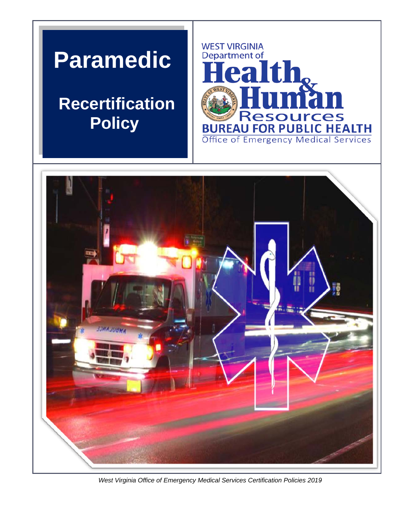# **Paramedic**

## **Recertification Policy**





*West Virginia Office of Emergency Medical Services Certification Policies 2019*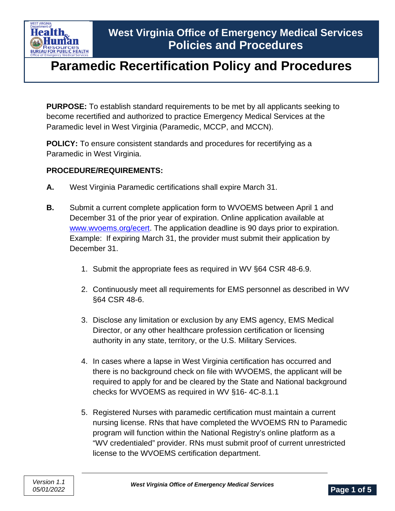

**PURPOSE:** To establish standard requirements to be met by all applicants seeking to become recertified and authorized to practice Emergency Medical Services at the Paramedic level in West Virginia (Paramedic, MCCP, and MCCN).

**POLICY:** To ensure consistent standards and procedures for recertifying as a Paramedic in West Virginia.

#### **PROCEDURE/REQUIREMENTS:**

- **A.** West Virginia Paramedic certifications shall expire March 31.
- **B.** Submit a current complete application form to WVOEMS between April 1 and December 31 of the prior year of expiration. Online application available at [www.wvoems.org/](http://www.wvoems.org/)ecert. The application deadline is 90 days prior to expiration. Example: If expiring March 31, the provider must submit their application by December 31.
	- 1. Submit the appropriate fees as required in WV §64 CSR 48-6.9.
	- 2. Continuously meet all requirements for EMS personnel as described in WV §64 CSR 48-6.
	- 3. Disclose any limitation or exclusion by any EMS agency, EMS Medical Director, or any other healthcare profession certification or licensing authority in any state, territory, or the U.S. Military Services.
	- 4. In cases where a lapse in West Virginia certification has occurred and there is no background check on file with WVOEMS, the applicant will be required to apply for and be cleared by the State and National background checks for WVOEMS as required in WV §16- 4C-8.1.1
	- 5. Registered Nurses with paramedic certification must maintain a current nursing license. RNs that have completed the WVOEMS RN to Paramedic program will function within the National Registry's online platform as a "WV credentialed" provider. RNs must submit proof of current unrestricted license to the WVOEMS certification department.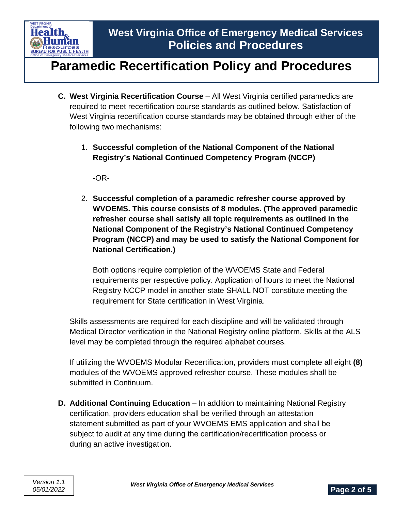

- **C. West Virginia Recertification Course** All West Virginia certified paramedics are required to meet recertification course standards as outlined below. Satisfaction of West Virginia recertification course standards may be obtained through either of the following two mechanisms:
	- 1. **Successful completion of the National Component of the National Registry's National Continued Competency Program (NCCP)**

-OR-

2. **Successful completion of a paramedic refresher course approved by WVOEMS. This course consists of 8 modules. (The approved paramedic refresher course shall satisfy all topic requirements as outlined in the National Component of the Registry's National Continued Competency Program (NCCP) and may be used to satisfy the National Component for National Certification.)**

Both options require completion of the WVOEMS State and Federal requirements per respective policy. Application of hours to meet the National Registry NCCP model in another state SHALL NOT constitute meeting the requirement for State certification in West Virginia.

Skills assessments are required for each discipline and will be validated through Medical Director verification in the National Registry online platform. Skills at the ALS level may be completed through the required alphabet courses.

If utilizing the WVOEMS Modular Recertification, providers must complete all eight **(8)** modules of the WVOEMS approved refresher course. These modules shall be submitted in Continuum.

**D. Additional Continuing Education** – In addition to maintaining National Registry certification, providers education shall be verified through an attestation statement submitted as part of your WVOEMS EMS application and shall be subject to audit at any time during the certification/recertification process or during an active investigation.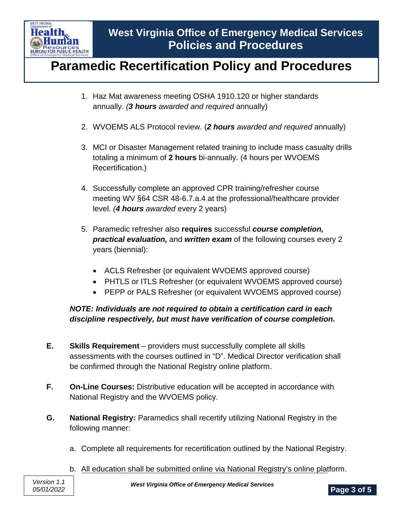

- 1. Haz Mat awareness meeting OSHA 1910.120 or higher standards annually. *(3 hours awarded and required* annually)
- 2. WVOEMS ALS Protocol review. (*2 hours awarded and required* annually)
- 3. MCI or Disaster Management related training to include mass casualty drills totaling a minimum of **2 hours** bi-annually. (4 hours per WVOEMS Recertification.)
- 4. Successfully complete an approved CPR training/refresher course meeting WV §64 CSR 48-6.7.a.4 at the professional/healthcare provider level. *(4 hours awarded* every 2 years)
- 5. Paramedic refresher also **requires** successful *course completion, practical evaluation,* and *written exam* of the following courses every 2 years (biennial):
	- ACLS Refresher (or equivalent WVOEMS approved course)
	- PHTLS or ITLS Refresher (or equivalent WVOEMS approved course)
	- PEPP or PALS Refresher (or equivalent WVOEMS approved course)

### *NOTE: Individuals are not required to obtain a certification card in each discipline respectively, but must have verification of course completion.*

- **E. Skills Requirement** providers must successfully complete all skills assessments with the courses outlined in "D". Medical Director verification shall be confirmed through the National Registry online platform.
- **F. On-Line Courses:** Distributive education will be accepted in accordance with National Registry and the WVOEMS policy.
- **G. National Registry:** Paramedics shall recertify utilizing National Registry in the following manner:
	- a. Complete all requirements for recertification outlined by the National Registry.
	- b. All education shall be submitted online via National Registry's online platform.

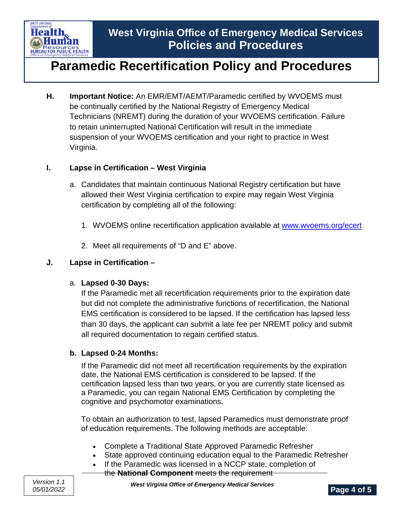

**H. Important Notice:** An EMR/EMT/AEMT/Paramedic certified by WVOEMS must be continually certified by the National Registry of Emergency Medical Technicians (NREMT) during the duration of your WVOEMS certification. Failure to retain uninterrupted National Certification will result in the immediate suspension of your WVOEMS certification and your right to practice in West Virginia.

#### **I. Lapse in Certification – West Virginia**

- a. Candidates that maintain continuous National Registry certification but have allowed their West Virginia certification to expire may regain West Virginia certification by completing all of the following:
	- 1. WVOEMS online recertification application available at [www.wvoems.org/ecert](http://www.wvoems.org/ecert)
	- 2. Meet all requirements of "D and E" above.

#### **J. Lapse in Certification –**

#### a. **Lapsed 0-30 Days:**

If the Paramedic met all recertification requirements prior to the expiration date but did not complete the administrative functions of recertification, the National EMS certification is considered to be lapsed. If the certification has lapsed less than 30 days, the applicant can submit a late fee per NREMT policy and submit all required documentation to regain certified status.

#### **b. Lapsed 0-24 Months:**

If the Paramedic did not meet all recertification requirements by the expiration date, the National EMS certification is considered to be lapsed. If the certification lapsed less than two years, or you are currently state licensed as a Paramedic, you can regain National EMS Certification by completing the cognitive and psychomotor examinations.

To obtain an authorization to test, lapsed Paramedics must demonstrate proof of education requirements. The following methods are acceptable:

- Complete a Traditional State Approved Paramedic Refresher
- State approved continuing education equal to the Paramedic Refresher
- If the Paramedic was licensed in a NCCP state, completion of
	- the **National Component** meets the requirement